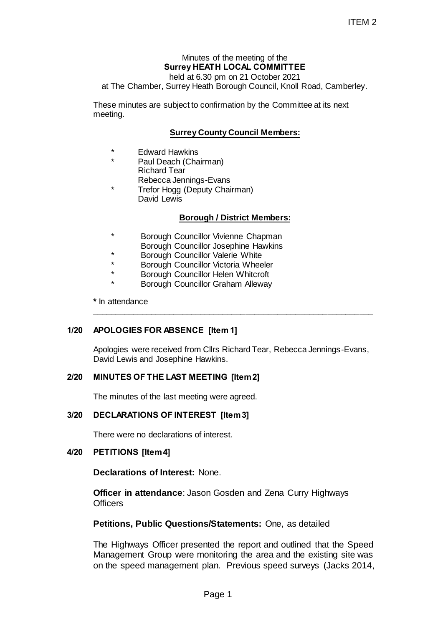# Minutes of the meeting of the **Surrey HEATH LOCAL COMMITTEE**

held at 6.30 pm on 21 October 2021

at The Chamber, Surrey Heath Borough Council, Knoll Road, Camberley.

These minutes are subject to confirmation by the Committee at its next meeting.

## **Surrey County Council Members:**

- **Edward Hawkins**
- Paul Deach (Chairman) Richard Tear Rebecca Jennings-Evans
- Trefor Hogg (Deputy Chairman) David Lewis

### **Borough / District Members:**

- Borough Councillor Vivienne Chapman Borough Councillor Josephine Hawkins
- \* Borough Councillor Valerie White
- Borough Councillor Victoria Wheeler
- Borough Councillor Helen Whitcroft
- **Borough Councillor Graham Alleway**

**\*** In attendance

### **1/20 APOLOGIES FOR ABSENCE [Item 1]**

Apologies were received from Cllrs Richard Tear, Rebecca Jennings-Evans, David Lewis and Josephine Hawkins.

**\_\_\_\_\_\_\_\_\_\_\_\_\_\_\_\_\_\_\_\_\_\_\_\_\_\_\_\_\_\_\_\_\_\_\_\_\_\_\_\_\_\_\_\_\_\_\_\_\_\_\_\_\_\_\_\_\_\_\_\_\_\_**

### **2/20 MINUTES OF THE LAST MEETING [Item 2]**

The minutes of the last meeting were agreed.

### **3/20 DECLARATIONS OF INTEREST [Item 3]**

There were no declarations of interest.

### **4/20 PETITIONS [Item 4]**

**Declarations of Interest:** None.

**Officer in attendance**: Jason Gosden and Zena Curry Highways **Officers** 

#### **Petitions, Public Questions/Statements:** One, as detailed

The Highways Officer presented the report and outlined that the Speed Management Group were monitoring the area and the existing site was on the speed management plan. Previous speed surveys (Jacks 2014, ITEM 2<br>
ITEM 2<br>
So pm on 21 October 2021<br>
So pm on 21 October 2021<br>
Inth Borough Council, Knoll Road, Camberley.<br>
confirmation by the Committee at its next<br> **ounty Council Members:**<br>
The Constant of June Chapman<br>
July Chai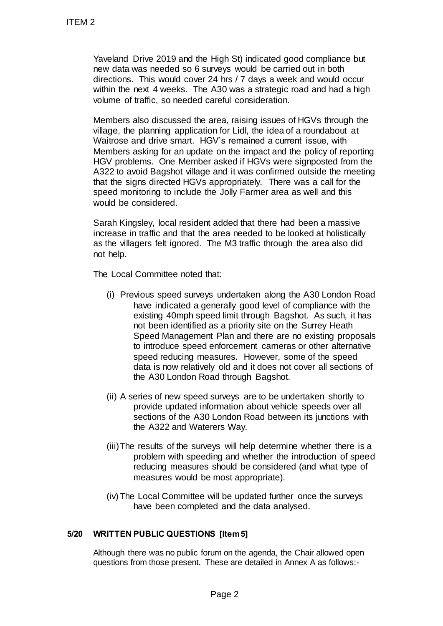Yaveland Drive 2019 and the High St) indicated good compliance but new data was needed so 6 surveys would be carried out in both directions. This would cover 24 hrs / 7 days a week and would occur within the next 4 weeks. The A30 was a strategic road and had a high volume of traffic, so needed careful consideration.

Members also discussed the area, raising issues of HGVs through the village, the planning application for Lidl, the idea of a roundabout at Waitrose and drive smart. HGV's remained a current issue, with Members asking for an update on the impact and the policy of reporting HGV problems. One Member asked if HGVs were signposted from the A322 to avoid Bagshot village and it was confirmed outside the meeting that the signs directed HGVs appropriately. There was a call for the speed monitoring to include the Jolly Farmer area as well and this would be considered. ITEM 2<br>
Yaveland Drive 2019 and the High S<br>
new data was needed so 6 surveys v<br>
new data was needed so 6 surveys v<br>
new data was needed so 6 surveys v<br>
new data was needed so 6 surveys v<br>
whitnes of the A40 west and drive

Sarah Kingsley, local resident added that there had been a massive increase in traffic and that the area needed to be looked at holistically as the villagers felt ignored. The M3 traffic through the area also did not help.

The Local Committee noted that:

- (i) Previous speed surveys undertaken along the A30 London Road have indicated a generally good level of compliance with the existing 40mph speed limit through Bagshot. As such, it has not been identified as a priority site on the Surrey Heath Speed Management Plan and there are no existing proposals to introduce speed enforcement cameras or other alternative speed reducing measures. However, some of the speed data is now relatively old and it does not cover all sections of the A30 London Road through Bagshot.
- (ii) A series of new speed surveys are to be undertaken shortly to provide updated information about vehicle speeds over all sections of the A30 London Road between its junctions with the A322 and Waterers Way.
- (iii)The results of the surveys will help determine whether there is a problem with speeding and whether the introduction of speed reducing measures should be considered (and what type of measures would be most appropriate).
- (iv) The Local Committee will be updated further once the surveys have been completed and the data analysed.

## **5/20 WRITTEN PUBLIC QUESTIONS [Item 5]**

Although there was no public forum on the agenda, the Chair allowed open questions from those present. These are detailed in Annex A as follows:-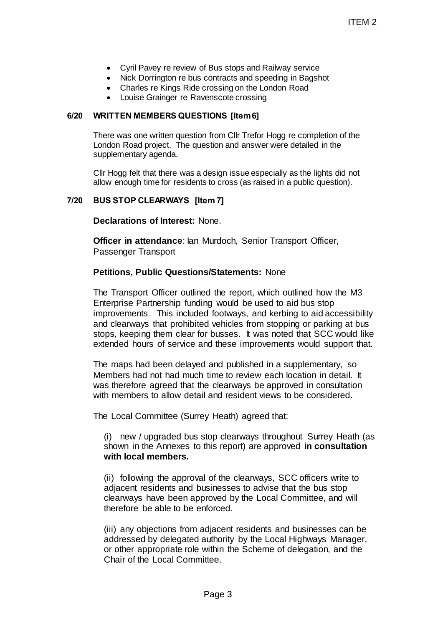- Cyril Pavey re review of Bus stops and Railway service
- Nick Dorrington re bus contracts and speeding in Bagshot
- Charles re Kings Ride crossing on the London Road
- Louise Grainger re Ravenscote crossing

## **6/20 WRITTEN MEMBERS QUESTIONS [Item 6]**

There was one written question from Cllr Trefor Hogg re completion of the London Road project. The question and answer were detailed in the supplementary agenda.

Cllr Hogg felt that there was a design issue especially as the lights did not allow enough time for residents to cross (as raised in a public question).

## **7/20 BUS STOP CLEARWAYS [Item 7]**

**Declarations of Interest:** None.

**Officer in attendance: Ian Murdoch, Senior Transport Officer,** Passenger Transport

## **Petitions, Public Questions/Statements:** None

The Transport Officer outlined the report, which outlined how the M3 Enterprise Partnership funding would be used to aid bus stop improvements. This included footways, and kerbing to aid accessibility and clearways that prohibited vehicles from stopping or parking at bus stops, keeping them clear for busses. It was noted that SCC would like extended hours of service and these improvements would support that. ITEM 2<br>
ITEM 2<br>
ITEM 2<br>
Fous stops and Railway service<br>
contracts and speeding in Bagshot<br>
renscote crossing<br> **rions** (Item6)<br> **rions** (Item6)<br> **rions** (Item6)<br> **rions** (Item6)<br> **rions** (Item6)<br> **example 3**<br> **example 3**<br>

The maps had been delayed and published in a supplementary, so Members had not had much time to review each location in detail. It was therefore agreed that the clearways be approved in consultation with members to allow detail and resident views to be considered.

The Local Committee (Surrey Heath) agreed that:

(i) new / upgraded bus stop clearways throughout Surrey Heath (as shown in the Annexes to this report) are approved **in consultation with local members.**

(ii) following the approval of the clearways, SCC officers write to adjacent residents and businesses to advise that the bus stop clearways have been approved by the Local Committee, and will therefore be able to be enforced.

(iii) any objections from adjacent residents and businesses can be addressed by delegated authority by the Local Highways Manager, or other appropriate role within the Scheme of delegation, and the Chair of the Local Committee.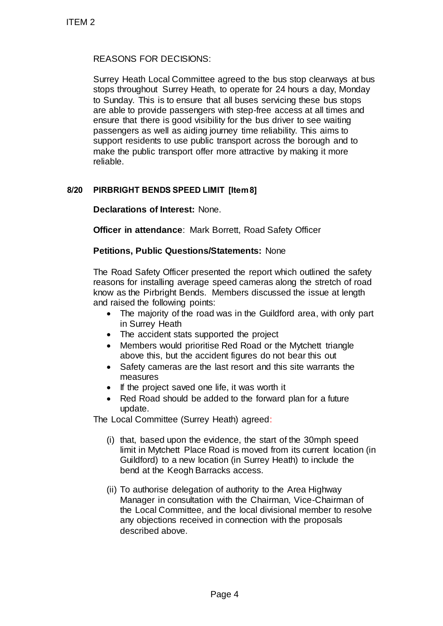# REASONS FOR DECISIONS:

Surrey Heath Local Committee agreed to the bus stop clearways at bus stops throughout Surrey Heath, to operate for 24 hours a day, Monday to Sunday. This is to ensure that all buses servicing these bus stops are able to provide passengers with step-free access at all times and ensure that there is good visibility for the bus driver to see waiting passengers as well as aiding journey time reliability. This aims to support residents to use public transport across the borough and to make the public transport offer more attractive by making it more reliable. TTEM 2<br>
REASONS FOR DECISIONS:<br>
Surrey Heath Local Committee agree<br>
stops throughout Surrey Heath, to og<br>
to Sunday. This is to ensure that all the<br>
are able to provide passengers with ensure that all the<br>
support resident

# **8/20 PIRBRIGHT BENDS SPEED LIMIT [Item 8]**

**Declarations of Interest:** None.

**Officer in attendance**: Mark Borrett, Road Safety Officer

## **Petitions, Public Questions/Statements:** None

The Road Safety Officer presented the report which outlined the safety reasons for installing average speed cameras along the stretch of road know as the Pirbright Bends. Members discussed the issue at length and raised the following points:

- The majority of the road was in the Guildford area, with only part in Surrey Heath
- The accident stats supported the project
- Members would prioritise Red Road or the Mytchett triangle above this, but the accident figures do not bear this out
- Safety cameras are the last resort and this site warrants the measures
- $\bullet$  If the project saved one life, it was worth it
- Red Road should be added to the forward plan for a future update.

The Local Committee (Surrey Heath) agreed:

- (i) that, based upon the evidence, the start of the 30mph speed limit in Mytchett Place Road is moved from its current location (in Guildford) to a new location (in Surrey Heath) to include the bend at the Keogh Barracks access.
- (ii) To authorise delegation of authority to the Area Highway Manager in consultation with the Chairman, Vice-Chairman of the Local Committee, and the local divisional member to resolve any objections received in connection with the proposals described above.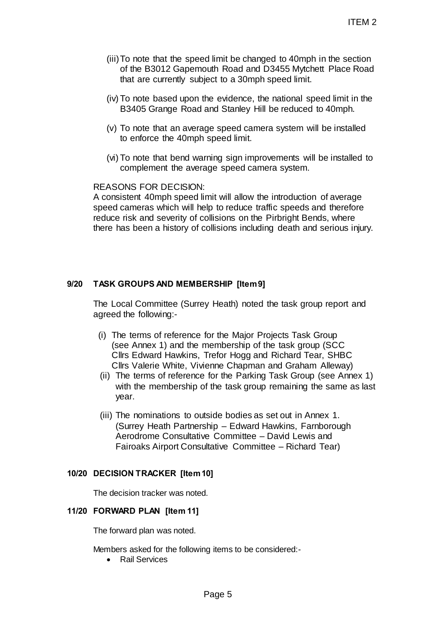- (iii)To note that the speed limit be changed to 40mph in the section of the B3012 Gapemouth Road and D3455 Mytchett Place Road that are currently subject to a 30mph speed limit.
- (iv) To note based upon the evidence, the national speed limit in the B3405 Grange Road and Stanley Hill be reduced to 40mph.
- (v) To note that an average speed camera system will be installed to enforce the 40mph speed limit.
- (vi) To note that bend warning sign improvements will be installed to complement the average speed camera system.

REASONS FOR DECISION:

A consistent 40mph speed limit will allow the introduction of average speed cameras which will help to reduce traffic speeds and therefore reduce risk and severity of collisions on the Pirbright Bends, where there has been a history of collisions including death and serious injury. ITEM 2<br>
d limit be changed to 40mph in the section<br>
outh Road and D3455 Mytchett Place Road<br>
eject to a 30mph speed limit.<br>
the evidence, the national speed limit in the<br>
and Stanley Hill be reduced to 40mph.<br>
ge speed cam

### **9/20 TASK GROUPS AND MEMBERSHIP [Item 9]**

The Local Committee (Surrey Heath) noted the task group report and agreed the following:-

- (i) The terms of reference for the Major Projects Task Group (see Annex 1) and the membership of the task group (SCC Cllrs Edward Hawkins, Trefor Hogg and Richard Tear, SHBC Cllrs Valerie White, Vivienne Chapman and Graham Alleway)
- (ii) The terms of reference for the Parking Task Group (see Annex 1) with the membership of the task group remaining the same as last year.
- (iii) The nominations to outside bodies as set out in Annex 1. (Surrey Heath Partnership – Edward Hawkins, Farnborough Aerodrome Consultative Committee – David Lewis and Fairoaks Airport Consultative Committee – Richard Tear)

### **10/20 DECISION TRACKER [Item 10]**

The decision tracker was noted.

#### **11/20 FORWARD PLAN [Item 11]**

The forward plan was noted.

Members asked for the following items to be considered:-

• Rail Services